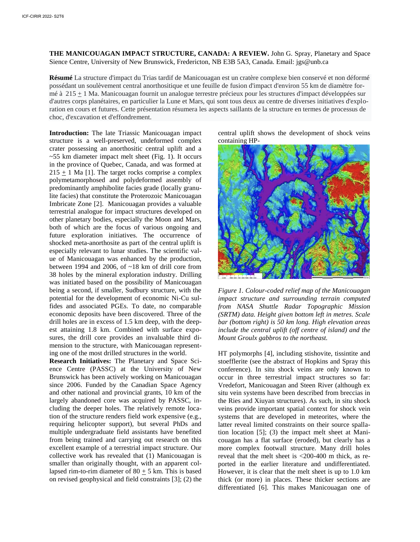**THE MANICOUAGAN IMPACT STRUCTURE, CANADA: A REVIEW.** John G. Spray, Planetary and Space Sience Centre, University of New Brunswick, Fredericton, NB E3B 5A3, Canada. Email: jgs@unb.ca

**Résumé** La structure d'impact du Trias tardif de Manicouagan est un cratère complexe bien conservé et non déformé possédant un soulèvement central anorthositique et une feuille de fusion d'impact d'environ 55 km de diamètre formé à 215 + 1 Ma. Manicouagan fournit un analogue terrestre précieux pour les structures d'impact développées sur d'autres corps planétaires, en particulier la Lune et Mars, qui sont tous deux au centre de diverses initiatives d'exploration en cours et futures. Cette présentation résumera les aspects saillants de la structure en termes de processus de choc, d'excavation et d'effondrement.

**Introduction:** The late Triassic Manicouagan impact structure is a well-preserved, undeformed complex crater possessing an anorthositic central uplift and a  $~55$  km diameter impact melt sheet (Fig. 1). It occurs in the province of Quebec, Canada, and was formed at  $215 \pm 1$  Ma [1]. The target rocks comprise a complex polymetamorphosed and polydeformed assembly of predominantly amphibolite facies grade (locally granulite facies) that constitute the Proterozoic Manicouagan Imbricate Zone [2]. Manicouagan provides a valuable terrestrial analogue for impact structures developed on other planetary bodies, especially the Moon and Mars, both of which are the focus of various ongoing and future exploration initiatives. The occurrence of shocked meta-anorthosite as part of the central uplift is especially relevant to lunar studies. The scientific value of Manicouagan was enhanced by the production, between 1994 and 2006, of ~18 km of drill core from 38 holes by the mineral exploration industry. Drilling was initiated based on the possibility of Manicouagan being a second, if smaller, Sudbury structure, with the potential for the development of economic Ni-Cu sulfides and associated PGEs. To date, no comparable economic deposits have been discovered. Three of the drill holes are in excess of 1.5 km deep, with the deepest attaining 1.8 km. Combined with surface exposures, the drill core provides an invaluable third dimension to the structure, with Manicouagan representing one of the most drilled structures in the world.

**Research Initiatives:** The Planetary and Space Science Centre (PASSC) at the University of New Brunswick has been actively working on Manicouagan since 2006. Funded by the Canadian Space Agency and other national and provincial grants, 10 km of the largely abandoned core was acquired by PASSC, including the deeper holes. The relatively remote location of the structure renders field work expensive (e.g., requiring helicopter support), but several PhDs and multiple undergraduate field assistants have benefited from being trained and carrying out research on this excellent example of a terrestrial impact structure. Our collective work has revealed that (1) Manicouagan is smaller than originally thought, with an apparent collapsed rim-to-rim diameter of 80  $\pm$  5 km. This is based on revised geophysical and field constraints [3]; (2) the

central uplift shows the development of shock veins containing HP-



*Figure 1. Colour-coded relief map of the Manicouagan impact structure and surrounding terrain computed from NASA Shuttle Radar Topographic Mission (SRTM) data. Height given bottom left in metres. Scale bar (bottom right) is 50 km long. High elevation areas include the central uplift (off centre of island) and the Mount Groulx gabbros to the northeast.*

HT polymorphs [4], including stishovite, tissintite and stoefflerite (see the abstract of Hopkins and Spray this conference). In situ shock veins are only known to occur in three terrestrial impact structures so far: Vredefort, Manicouagan and Steen River (although ex situ vein systems have been described from breccias in the Ries and Xiuyan structures). As such, in situ shock veins provide important spatial context for shock vein systems that are developed in meteorites, where the latter reveal limited constraints on their source spallation location [5]; (3) the impact melt sheet at Manicouagan has a flat surface (eroded), but clearly has a more complex footwall structure. Many drill holes reveal that the melt sheet is <200-400 m thick, as reported in the earlier literature and undifferentiated. However, it is clear that the melt sheet is up to 1.0 km thick (or more) in places. These thicker sections are differentiated [6]. This makes Manicouagan one of